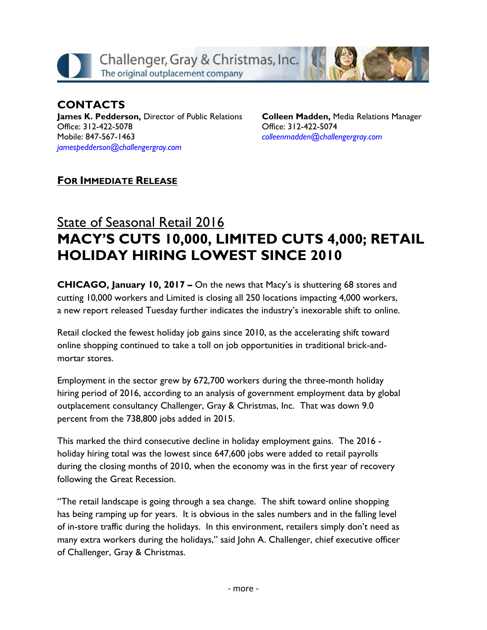

**CONTACTS James K. Pedderson,** Director of Public Relations Office: 312-422-5078 Mobile: 847-567-1463 *[jamespedderson@challengergray.com](mailto:jamespedderson@challengergray.com)*

**Colleen Madden,** Media Relations Manager Office: 312-422-5074 *[colleenmadden@challengergray.com](mailto:colleenmadden@challengergray.com)*

## **FOR IMMEDIATE RELEASE**

## State of Seasonal Retail 2016 **MACY'S CUTS 10,000, LIMITED CUTS 4,000; RETAIL HOLIDAY HIRING LOWEST SINCE 2010**

**CHICAGO, January 10, 2017 –** On the news that Macy's is shuttering 68 stores and cutting 10,000 workers and Limited is closing all 250 locations impacting 4,000 workers, a new report released Tuesday further indicates the industry's inexorable shift to online.

Retail clocked the fewest holiday job gains since 2010, as the accelerating shift toward online shopping continued to take a toll on job opportunities in traditional brick-andmortar stores.

Employment in the sector grew by 672,700 workers during the three-month holiday hiring period of 2016, according to an analysis of government employment data by global outplacement consultancy Challenger, Gray & Christmas, Inc. That was down 9.0 percent from the 738,800 jobs added in 2015.

This marked the third consecutive decline in holiday employment gains. The 2016 holiday hiring total was the lowest since 647,600 jobs were added to retail payrolls during the closing months of 2010, when the economy was in the first year of recovery following the Great Recession.

"The retail landscape is going through a sea change. The shift toward online shopping has being ramping up for years. It is obvious in the sales numbers and in the falling level of in-store traffic during the holidays. In this environment, retailers simply don't need as many extra workers during the holidays," said John A. Challenger, chief executive officer of Challenger, Gray & Christmas.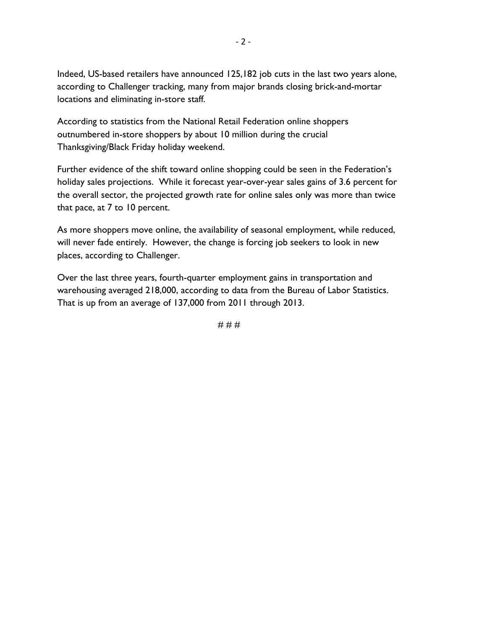Indeed, US-based retailers have announced 125,182 job cuts in the last two years alone, according to Challenger tracking, many from major brands closing brick-and-mortar locations and eliminating in-store staff.

According to statistics from the National Retail Federation online shoppers outnumbered in-store shoppers by about 10 million during the crucial Thanksgiving/Black Friday holiday weekend.

Further evidence of the shift toward online shopping could be seen in the Federation's holiday sales projections. While it forecast year-over-year sales gains of 3.6 percent for the overall sector, the projected growth rate for online sales only was more than twice that pace, at 7 to 10 percent.

As more shoppers move online, the availability of seasonal employment, while reduced, will never fade entirely. However, the change is forcing job seekers to look in new places, according to Challenger.

Over the last three years, fourth-quarter employment gains in transportation and warehousing averaged 218,000, according to data from the Bureau of Labor Statistics. That is up from an average of 137,000 from 2011 through 2013.

# # #